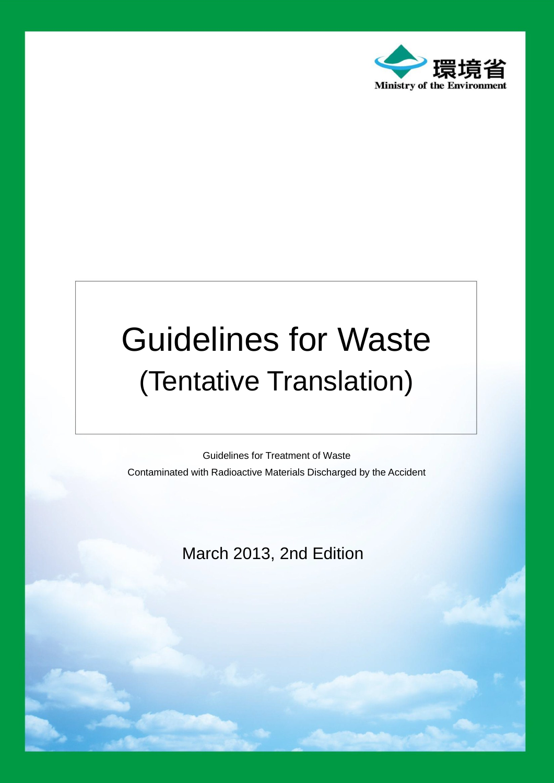

## Guidelines for Waste (Tentative Translation)

Guidelines for Treatment of Waste Contaminated with Radioactive Materials Discharged by the Accident

March 2013, 2nd Edition